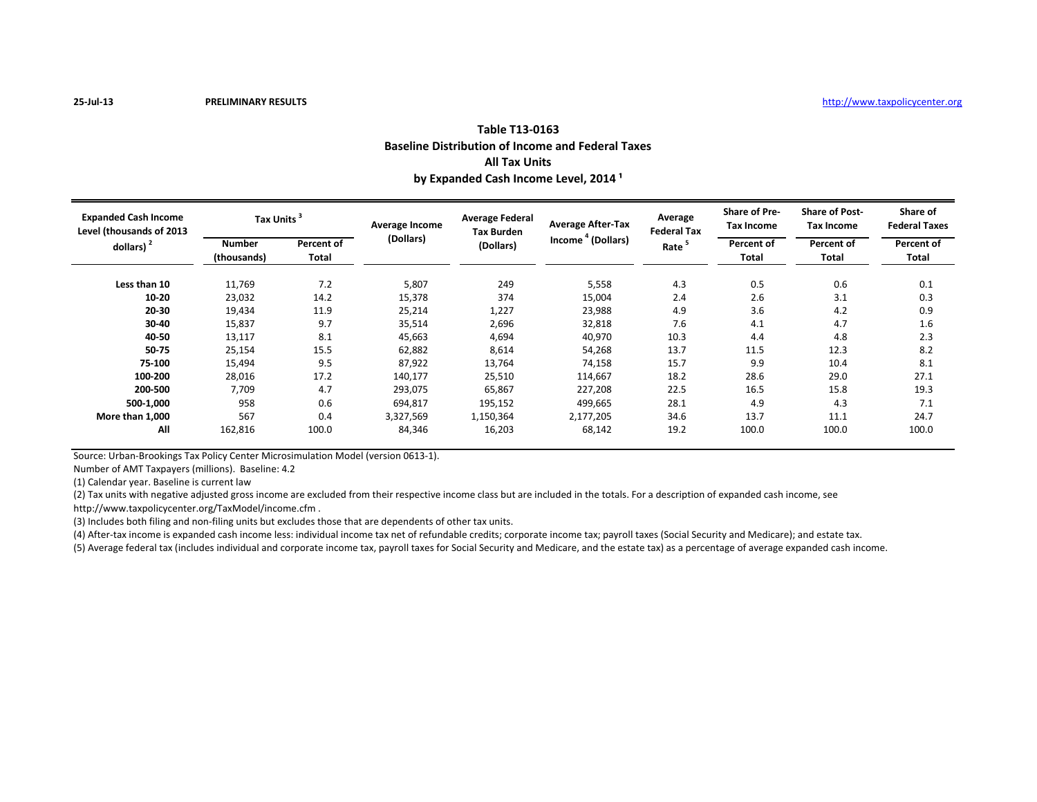| Table T13-0163                                           |
|----------------------------------------------------------|
| <b>Baseline Distribution of Income and Federal Taxes</b> |
| <b>All Tax Units</b>                                     |
| by Expanded Cash Income Level, 2014 <sup>1</sup>         |

| <b>Expanded Cash Income</b><br>Level (thousands of 2013<br>dollars) $2$ | <b>Tax Units</b>             |                     | Average Income | <b>Average Federal</b><br><b>Tax Burden</b> | <b>Average After-Tax</b>      | Average<br><b>Federal Tax</b> | <b>Share of Pre-</b><br>Tax Income | <b>Share of Post-</b><br><b>Tax Income</b> | Share of<br><b>Federal Taxes</b> |
|-------------------------------------------------------------------------|------------------------------|---------------------|----------------|---------------------------------------------|-------------------------------|-------------------------------|------------------------------------|--------------------------------------------|----------------------------------|
|                                                                         | <b>Number</b><br>(thousands) | Percent of<br>Total | (Dollars)      | (Dollars)                                   | Income <sup>4</sup> (Dollars) | Rate <sup>3</sup>             | Percent of<br>Total                | Percent of<br>Total                        | Percent of<br>Total              |
| Less than 10                                                            | 11,769                       | 7.2                 | 5,807          | 249                                         | 5,558                         | 4.3                           | 0.5                                | 0.6                                        | 0.1                              |
| $10 - 20$                                                               | 23,032                       | 14.2                | 15,378         | 374                                         | 15,004                        | 2.4                           | 2.6                                | 3.1                                        | 0.3                              |
| 20-30                                                                   | 19,434                       | 11.9                | 25,214         | 1,227                                       | 23,988                        | 4.9                           | 3.6                                | 4.2                                        | 0.9                              |
| 30-40                                                                   | 15,837                       | 9.7                 | 35,514         | 2,696                                       | 32,818                        | 7.6                           | 4.1                                | 4.7                                        | 1.6                              |
| 40-50                                                                   | 13,117                       | 8.1                 | 45,663         | 4,694                                       | 40,970                        | 10.3                          | 4.4                                | 4.8                                        | 2.3                              |
| 50-75                                                                   | 25,154                       | 15.5                | 62,882         | 8,614                                       | 54,268                        | 13.7                          | 11.5                               | 12.3                                       | 8.2                              |
| 75-100                                                                  | 15,494                       | 9.5                 | 87,922         | 13,764                                      | 74,158                        | 15.7                          | 9.9                                | 10.4                                       | 8.1                              |
| 100-200                                                                 | 28,016                       | 17.2                | 140,177        | 25,510                                      | 114,667                       | 18.2                          | 28.6                               | 29.0                                       | 27.1                             |
| 200-500                                                                 | 7,709                        | 4.7                 | 293,075        | 65,867                                      | 227,208                       | 22.5                          | 16.5                               | 15.8                                       | 19.3                             |
| 500-1,000                                                               | 958                          | 0.6                 | 694,817        | 195,152                                     | 499,665                       | 28.1                          | 4.9                                | 4.3                                        | 7.1                              |
| More than 1.000                                                         | 567                          | 0.4                 | 3,327,569      | 1,150,364                                   | 2,177,205                     | 34.6                          | 13.7                               | 11.1                                       | 24.7                             |
| All                                                                     | 162,816                      | 100.0               | 84,346         | 16,203                                      | 68,142                        | 19.2                          | 100.0                              | 100.0                                      | 100.0                            |

Source: Urban-Brookings Tax Policy Center Microsimulation Model (version 0613-1).

Number of AMT Taxpayers (millions). Baseline: 4.2

(1) Calendar year. Baseline is current law

(2) Tax units with negative adjusted gross income are excluded from their respective income class but are included in the totals. For a description of expanded cash income, see

http://www.taxpolicycenter.org/TaxModel/income.cfm .

(3) Includes both filing and non-filing units but excludes those that are dependents of other tax units.

(4) After-tax income is expanded cash income less: individual income tax net of refundable credits; corporate income tax; payroll taxes (Social Security and Medicare); and estate tax.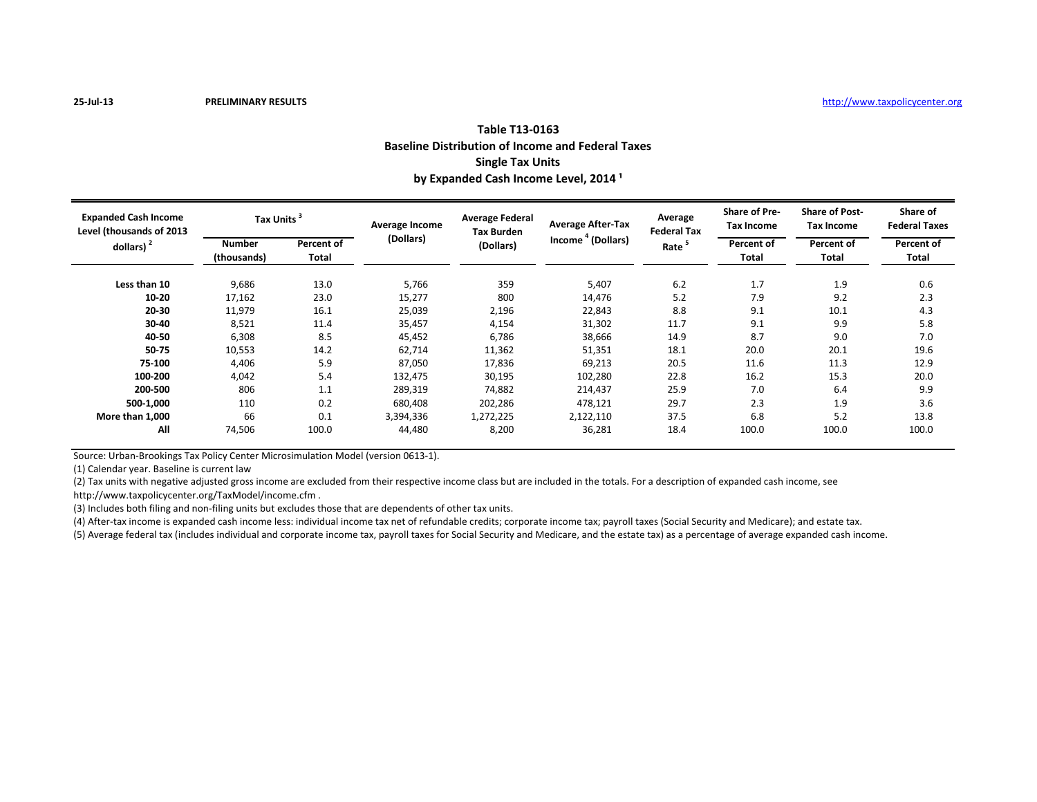## **Table T13-0163 Baseline Distribution of Income and Federal Taxes Single Tax Units** by Expanded Cash Income Level, 2014<sup>1</sup>

| <b>Expanded Cash Income</b><br>Level (thousands of 2013<br>dollars) $2$ | Tax Units <sup>3</sup>       |                     | Average Income | <b>Average Federal</b><br><b>Tax Burden</b> | <b>Average After-Tax</b>      | Average<br><b>Federal Tax</b> | <b>Share of Pre-</b><br><b>Tax Income</b> | <b>Share of Post-</b><br>Tax Income | Share of<br><b>Federal Taxes</b> |
|-------------------------------------------------------------------------|------------------------------|---------------------|----------------|---------------------------------------------|-------------------------------|-------------------------------|-------------------------------------------|-------------------------------------|----------------------------------|
|                                                                         | <b>Number</b><br>(thousands) | Percent of<br>Total | (Dollars)      | (Dollars)                                   | Income <sup>4</sup> (Dollars) | Rate <sup>5</sup>             | Percent of<br>Total                       | Percent of<br>Total                 | Percent of<br>Total              |
| Less than 10                                                            | 9,686                        | 13.0                | 5,766          | 359                                         | 5,407                         | 6.2                           | 1.7                                       | 1.9                                 | 0.6                              |
| $10 - 20$                                                               | 17,162                       | 23.0                | 15,277         | 800                                         | 14,476                        | 5.2                           | 7.9                                       | 9.2                                 | 2.3                              |
| 20-30                                                                   | 11,979                       | 16.1                | 25,039         | 2,196                                       | 22,843                        | 8.8                           | 9.1                                       | 10.1                                | 4.3                              |
| 30-40                                                                   | 8,521                        | 11.4                | 35,457         | 4,154                                       | 31,302                        | 11.7                          | 9.1                                       | 9.9                                 | 5.8                              |
| 40-50                                                                   | 6,308                        | 8.5                 | 45,452         | 6,786                                       | 38,666                        | 14.9                          | 8.7                                       | 9.0                                 | 7.0                              |
| 50-75                                                                   | 10,553                       | 14.2                | 62,714         | 11,362                                      | 51,351                        | 18.1                          | 20.0                                      | 20.1                                | 19.6                             |
| 75-100                                                                  | 4,406                        | 5.9                 | 87,050         | 17,836                                      | 69,213                        | 20.5                          | 11.6                                      | 11.3                                | 12.9                             |
| 100-200                                                                 | 4,042                        | 5.4                 | 132,475        | 30,195                                      | 102,280                       | 22.8                          | 16.2                                      | 15.3                                | 20.0                             |
| 200-500                                                                 | 806                          | 1.1                 | 289,319        | 74,882                                      | 214,437                       | 25.9                          | 7.0                                       | 6.4                                 | 9.9                              |
| 500-1.000                                                               | 110                          | 0.2                 | 680,408        | 202,286                                     | 478,121                       | 29.7                          | 2.3                                       | 1.9                                 | 3.6                              |
| More than 1,000                                                         | 66                           | 0.1                 | 3,394,336      | 1,272,225                                   | 2,122,110                     | 37.5                          | 6.8                                       | 5.2                                 | 13.8                             |
| All                                                                     | 74,506                       | 100.0               | 44,480         | 8,200                                       | 36,281                        | 18.4                          | 100.0                                     | 100.0                               | 100.0                            |

Source: Urban-Brookings Tax Policy Center Microsimulation Model (version 0613-1).

(1) Calendar year. Baseline is current law

(2) Tax units with negative adjusted gross income are excluded from their respective income class but are included in the totals. For a description of expanded cash income, see http://www.taxpolicycenter.org/TaxModel/income.cfm .

(3) Includes both filing and non-filing units but excludes those that are dependents of other tax units.

(4) After-tax income is expanded cash income less: individual income tax net of refundable credits; corporate income tax; payroll taxes (Social Security and Medicare); and estate tax.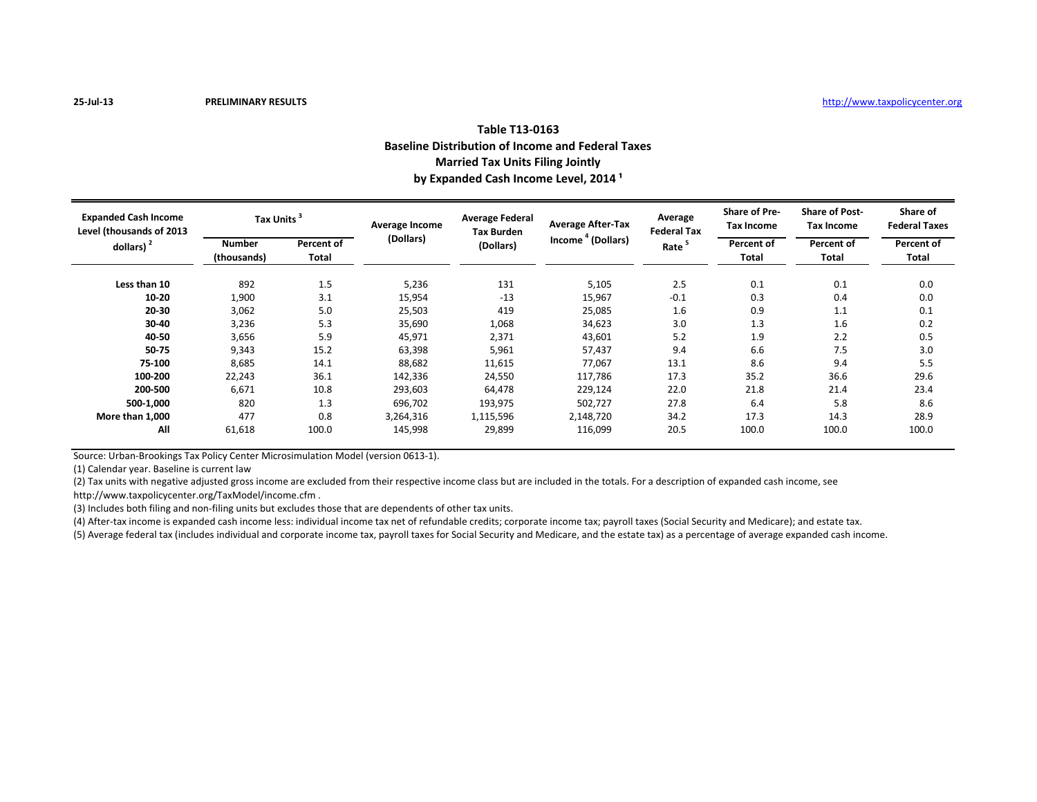| Table T13-0163                                           |  |  |  |  |  |  |  |
|----------------------------------------------------------|--|--|--|--|--|--|--|
| <b>Baseline Distribution of Income and Federal Taxes</b> |  |  |  |  |  |  |  |
| <b>Married Tax Units Filing Jointly</b>                  |  |  |  |  |  |  |  |
| by Expanded Cash Income Level, 2014 <sup>1</sup>         |  |  |  |  |  |  |  |

| <b>Expanded Cash Income</b><br>Level (thousands of 2013<br>dollars) $2$ | <b>Tax Units</b>             |                     | Average Income | <b>Average Federal</b><br><b>Tax Burden</b> | <b>Average After-Tax</b>      | Average<br><b>Federal Tax</b> | <b>Share of Pre-</b><br><b>Tax Income</b> | <b>Share of Post-</b><br><b>Tax Income</b> | Share of<br><b>Federal Taxes</b> |
|-------------------------------------------------------------------------|------------------------------|---------------------|----------------|---------------------------------------------|-------------------------------|-------------------------------|-------------------------------------------|--------------------------------------------|----------------------------------|
|                                                                         | <b>Number</b><br>(thousands) | Percent of<br>Total | (Dollars)      | (Dollars)                                   | Income <sup>4</sup> (Dollars) | Rate <sup>5</sup>             | Percent of<br>Total                       | Percent of<br>Total                        | Percent of<br>Total              |
| Less than 10                                                            | 892                          | 1.5                 | 5,236          | 131                                         | 5,105                         | 2.5                           | 0.1                                       | 0.1                                        | 0.0                              |
| $10 - 20$                                                               | 1,900                        | 3.1                 | 15,954         | $-13$                                       | 15,967                        | $-0.1$                        | 0.3                                       | 0.4                                        | 0.0                              |
| 20-30                                                                   | 3,062                        | 5.0                 | 25,503         | 419                                         | 25,085                        | 1.6                           | 0.9                                       | 1.1                                        | 0.1                              |
| 30-40                                                                   | 3,236                        | 5.3                 | 35,690         | 1,068                                       | 34,623                        | 3.0                           | 1.3                                       | 1.6                                        | 0.2                              |
| 40-50                                                                   | 3,656                        | 5.9                 | 45,971         | 2,371                                       | 43,601                        | 5.2                           | 1.9                                       | 2.2                                        | 0.5                              |
| 50-75                                                                   | 9,343                        | 15.2                | 63,398         | 5,961                                       | 57,437                        | 9.4                           | 6.6                                       | 7.5                                        | 3.0                              |
| 75-100                                                                  | 8,685                        | 14.1                | 88,682         | 11,615                                      | 77,067                        | 13.1                          | 8.6                                       | 9.4                                        | 5.5                              |
| 100-200                                                                 | 22,243                       | 36.1                | 142,336        | 24,550                                      | 117,786                       | 17.3                          | 35.2                                      | 36.6                                       | 29.6                             |
| 200-500                                                                 | 6,671                        | 10.8                | 293,603        | 64,478                                      | 229,124                       | 22.0                          | 21.8                                      | 21.4                                       | 23.4                             |
| 500-1,000                                                               | 820                          | 1.3                 | 696,702        | 193,975                                     | 502,727                       | 27.8                          | 6.4                                       | 5.8                                        | 8.6                              |
| More than 1,000                                                         | 477                          | 0.8                 | 3,264,316      | 1,115,596                                   | 2,148,720                     | 34.2                          | 17.3                                      | 14.3                                       | 28.9                             |
| All                                                                     | 61,618                       | 100.0               | 145,998        | 29,899                                      | 116,099                       | 20.5                          | 100.0                                     | 100.0                                      | 100.0                            |

Source: Urban-Brookings Tax Policy Center Microsimulation Model (version 0613-1).

(1) Calendar year. Baseline is current law

(2) Tax units with negative adjusted gross income are excluded from their respective income class but are included in the totals. For a description of expanded cash income, see http://www.taxpolicycenter.org/TaxModel/income.cfm .

(3) Includes both filing and non-filing units but excludes those that are dependents of other tax units.

(4) After-tax income is expanded cash income less: individual income tax net of refundable credits; corporate income tax; payroll taxes (Social Security and Medicare); and estate tax.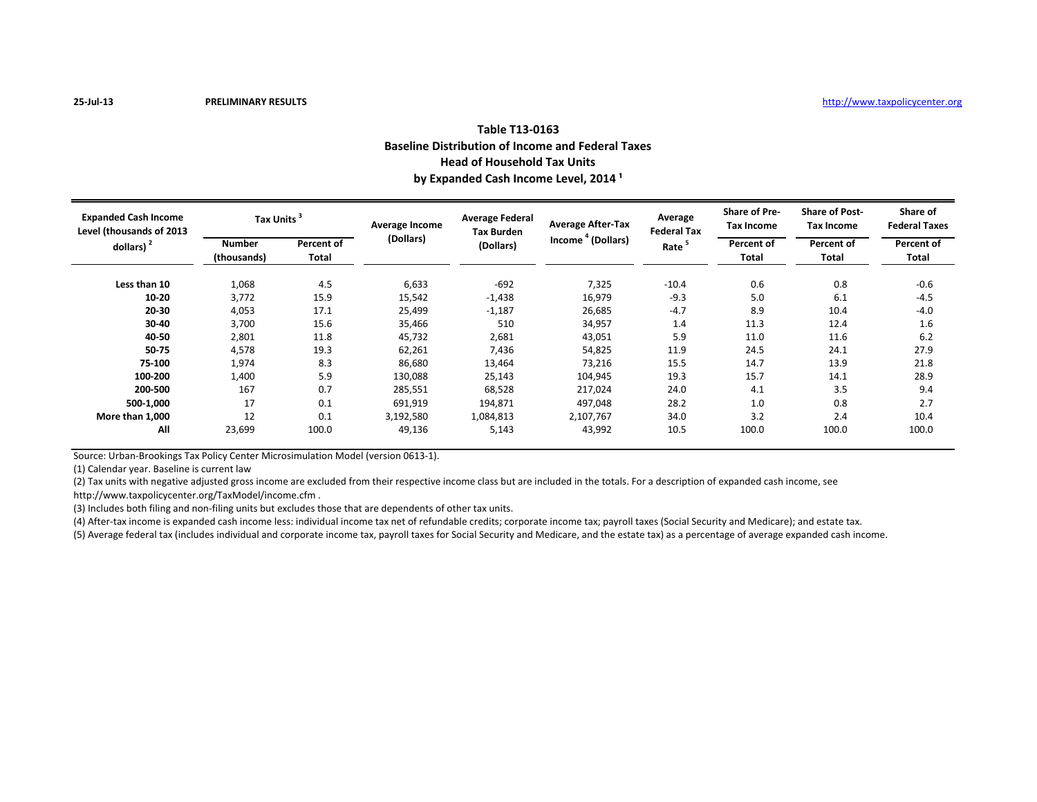## **Table T13-0163 Baseline Distribution of Income and Federal Taxes Head of Household Tax Units** by Expanded Cash Income Level, 2014<sup>1</sup>

| <b>Expanded Cash Income</b><br>Level (thousands of 2013<br>dollars) $2$ | <b>Tax Units</b>      |                     | Average Income | <b>Average Federal</b><br><b>Tax Burden</b> | <b>Average After-Tax</b>      | Average<br><b>Federal Tax</b> | <b>Share of Pre-</b><br><b>Tax Income</b> | <b>Share of Post-</b><br><b>Tax Income</b> | Share of<br><b>Federal Taxes</b> |
|-------------------------------------------------------------------------|-----------------------|---------------------|----------------|---------------------------------------------|-------------------------------|-------------------------------|-------------------------------------------|--------------------------------------------|----------------------------------|
|                                                                         | Number<br>(thousands) | Percent of<br>Total | (Dollars)      | (Dollars)                                   | Income <sup>4</sup> (Dollars) | Rate <sup>5</sup>             | Percent of<br>Total                       | Percent of<br>Total                        | Percent of<br>Total              |
| Less than 10                                                            | 1,068                 | 4.5                 | 6,633          | $-692$                                      | 7,325                         | $-10.4$                       | 0.6                                       | 0.8                                        | $-0.6$                           |
| $10 - 20$                                                               | 3,772                 | 15.9                | 15,542         | $-1,438$                                    | 16,979                        | $-9.3$                        | 5.0                                       | 6.1                                        | $-4.5$                           |
| 20-30                                                                   | 4,053                 | 17.1                | 25,499         | $-1,187$                                    | 26,685                        | $-4.7$                        | 8.9                                       | 10.4                                       | $-4.0$                           |
| 30-40                                                                   | 3,700                 | 15.6                | 35,466         | 510                                         | 34,957                        | 1.4                           | 11.3                                      | 12.4                                       | 1.6                              |
| 40-50                                                                   | 2,801                 | 11.8                | 45,732         | 2,681                                       | 43,051                        | 5.9                           | 11.0                                      | 11.6                                       | 6.2                              |
| 50-75                                                                   | 4,578                 | 19.3                | 62,261         | 7,436                                       | 54,825                        | 11.9                          | 24.5                                      | 24.1                                       | 27.9                             |
| 75-100                                                                  | 1,974                 | 8.3                 | 86,680         | 13,464                                      | 73,216                        | 15.5                          | 14.7                                      | 13.9                                       | 21.8                             |
| 100-200                                                                 | 1,400                 | 5.9                 | 130,088        | 25,143                                      | 104,945                       | 19.3                          | 15.7                                      | 14.1                                       | 28.9                             |
| 200-500                                                                 | 167                   | 0.7                 | 285,551        | 68,528                                      | 217,024                       | 24.0                          | 4.1                                       | 3.5                                        | 9.4                              |
| 500-1,000                                                               | 17                    | 0.1                 | 691,919        | 194,871                                     | 497,048                       | 28.2                          | 1.0                                       | 0.8                                        | 2.7                              |
| More than 1,000                                                         | 12                    | 0.1                 | 3,192,580      | 1,084,813                                   | 2,107,767                     | 34.0                          | 3.2                                       | 2.4                                        | 10.4                             |
| All                                                                     | 23,699                | 100.0               | 49,136         | 5,143                                       | 43,992                        | 10.5                          | 100.0                                     | 100.0                                      | 100.0                            |

Source: Urban-Brookings Tax Policy Center Microsimulation Model (version 0613-1).

(1) Calendar year. Baseline is current law

(2) Tax units with negative adjusted gross income are excluded from their respective income class but are included in the totals. For a description of expanded cash income, see http://www.taxpolicycenter.org/TaxModel/income.cfm .

(3) Includes both filing and non-filing units but excludes those that are dependents of other tax units.

(4) After-tax income is expanded cash income less: individual income tax net of refundable credits; corporate income tax; payroll taxes (Social Security and Medicare); and estate tax.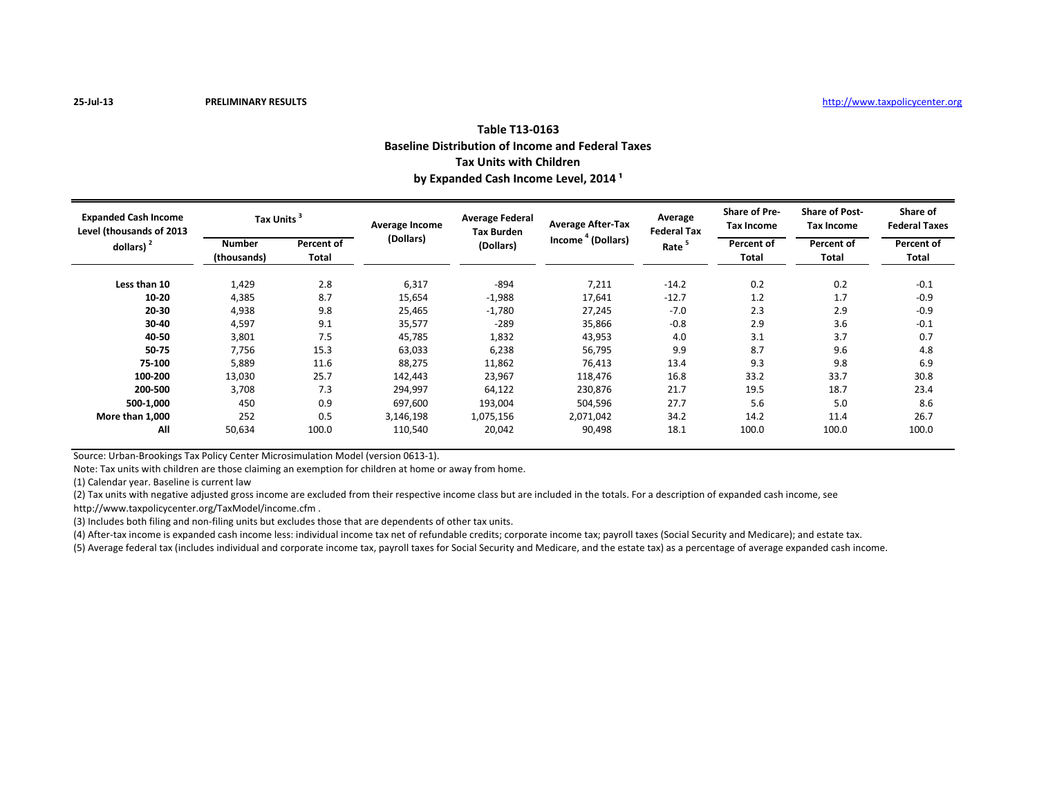## **Table T13-0163 Baseline Distribution of Income and Federal Taxes Tax Units with Children** by Expanded Cash Income Level, 2014<sup>1</sup>

| <b>Expanded Cash Income</b><br>Level (thousands of 2013<br>dollars) $2$ | Tax Units <sup>3</sup>       |                     | Average Income | <b>Average Federal</b><br><b>Tax Burden</b> | <b>Average After-Tax</b>      | Average<br><b>Federal Tax</b> | <b>Share of Pre-</b><br><b>Tax Income</b> | <b>Share of Post-</b><br><b>Tax Income</b> | Share of<br><b>Federal Taxes</b> |
|-------------------------------------------------------------------------|------------------------------|---------------------|----------------|---------------------------------------------|-------------------------------|-------------------------------|-------------------------------------------|--------------------------------------------|----------------------------------|
|                                                                         | <b>Number</b><br>(thousands) | Percent of<br>Total | (Dollars)      | (Dollars)                                   | Income <sup>4</sup> (Dollars) | Rate <sup>5</sup>             | Percent of<br>Total                       | Percent of<br>Total                        | Percent of<br>Total              |
| Less than 10                                                            | 1,429                        | 2.8                 | 6,317          | -894                                        | 7,211                         | $-14.2$                       | 0.2                                       | 0.2                                        | $-0.1$                           |
| $10 - 20$                                                               | 4,385                        | 8.7                 | 15,654         | $-1,988$                                    | 17,641                        | $-12.7$                       | 1.2                                       | 1.7                                        | $-0.9$                           |
| 20-30                                                                   | 4,938                        | 9.8                 | 25,465         | $-1,780$                                    | 27,245                        | $-7.0$                        | 2.3                                       | 2.9                                        | $-0.9$                           |
| 30-40                                                                   | 4,597                        | 9.1                 | 35,577         | $-289$                                      | 35,866                        | $-0.8$                        | 2.9                                       | 3.6                                        | $-0.1$                           |
| 40-50                                                                   | 3,801                        | 7.5                 | 45,785         | 1,832                                       | 43,953                        | 4.0                           | 3.1                                       | 3.7                                        | 0.7                              |
| 50-75                                                                   | 7,756                        | 15.3                | 63,033         | 6,238                                       | 56,795                        | 9.9                           | 8.7                                       | 9.6                                        | 4.8                              |
| 75-100                                                                  | 5,889                        | 11.6                | 88,275         | 11,862                                      | 76,413                        | 13.4                          | 9.3                                       | 9.8                                        | 6.9                              |
| 100-200                                                                 | 13,030                       | 25.7                | 142,443        | 23,967                                      | 118,476                       | 16.8                          | 33.2                                      | 33.7                                       | 30.8                             |
| 200-500                                                                 | 3,708                        | 7.3                 | 294,997        | 64,122                                      | 230,876                       | 21.7                          | 19.5                                      | 18.7                                       | 23.4                             |
| 500-1,000                                                               | 450                          | 0.9                 | 697,600        | 193,004                                     | 504,596                       | 27.7                          | 5.6                                       | 5.0                                        | 8.6                              |
| More than 1,000                                                         | 252                          | 0.5                 | 3,146,198      | 1,075,156                                   | 2,071,042                     | 34.2                          | 14.2                                      | 11.4                                       | 26.7                             |
| All                                                                     | 50,634                       | 100.0               | 110,540        | 20,042                                      | 90,498                        | 18.1                          | 100.0                                     | 100.0                                      | 100.0                            |

Source: Urban-Brookings Tax Policy Center Microsimulation Model (version 0613-1).

Note: Tax units with children are those claiming an exemption for children at home or away from home.

(1) Calendar year. Baseline is current law

(2) Tax units with negative adjusted gross income are excluded from their respective income class but are included in the totals. For a description of expanded cash income, see

http://www.taxpolicycenter.org/TaxModel/income.cfm .

(3) Includes both filing and non-filing units but excludes those that are dependents of other tax units.

(4) After-tax income is expanded cash income less: individual income tax net of refundable credits; corporate income tax; payroll taxes (Social Security and Medicare); and estate tax.